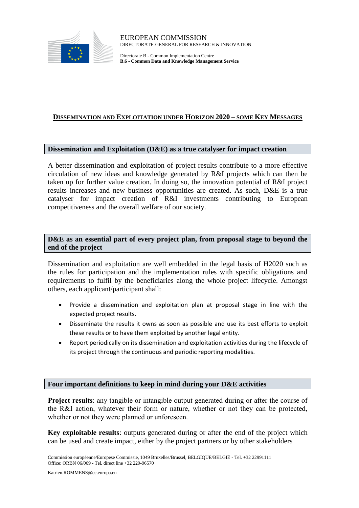

Directorate B - Common Implementation Centre **B.6 - Common Data and Knowledge Management Service**

## **DISSEMINATION AND EXPLOITATION UNDER HORIZON 2020 – SOME KEY MESSAGES**

#### **Dissemination and Exploitation (D&E) as a true catalyser for impact creation**

A better dissemination and exploitation of project results contribute to a more effective circulation of new ideas and knowledge generated by R&I projects which can then be taken up for further value creation. In doing so, the innovation potential of R&I project results increases and new business opportunities are created. As such, D&E is a true catalyser for impact creation of R&I investments contributing to European competitiveness and the overall welfare of our society.

**D&E as an essential part of every project plan, from proposal stage to beyond the end of the project**

Dissemination and exploitation are well embedded in the legal basis of H2020 such as the rules for participation and the implementation rules with specific obligations and requirements to fulfil by the beneficiaries along the whole project lifecycle. Amongst others, each applicant/participant shall:

- Provide a dissemination and exploitation plan at proposal stage in line with the expected project results.
- Disseminate the results it owns as soon as possible and use its best efforts to exploit these results or to have them exploited by another legal entity.
- Report periodically on its dissemination and exploitation activities during the lifecycle of its project through the continuous and periodic reporting modalities.

#### **Four important definitions to keep in mind during your D&E activities**

**Project results**: any tangible or intangible output generated during or after the course of the R&I action, whatever their form or nature, whether or not they can be protected, whether or not they were planned or unforeseen.

**Key exploitable results**: outputs generated during or after the end of the project which can be used and create impact, either by the project partners or by other stakeholders

Katrien.ROMMENS@ec.europa.eu

Commission européenne/Europese Commissie, 1049 Bruxelles/Brussel, BELGIQUE/BELGIË - Tel. +32 22991111 Office: ORBN 06/069 - Tel. direct line +32 229-96570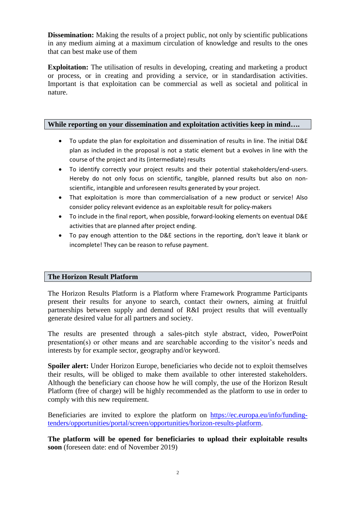**Dissemination:** Making the results of a project public, not only by scientific publications in any medium aiming at a maximum circulation of knowledge and results to the ones that can best make use of them

**Exploitation:** The utilisation of results in developing, creating and marketing a product or process, or in creating and providing a service, or in standardisation activities. Important is that exploitation can be commercial as well as societal and political in nature.

## **While reporting on your dissemination and exploitation activities keep in mind….**

- To update the plan for exploitation and dissemination of results in line. The initial D&E plan as included in the proposal is not a static element but a evolves in line with the course of the project and its (intermediate) results
- To identify correctly your project results and their potential stakeholders/end-users. Hereby do not only focus on scientific, tangible, planned results but also on nonscientific, intangible and unforeseen results generated by your project.
- That exploitation is more than commercialisation of a new product or service! Also consider policy relevant evidence as an exploitable result for policy-makers
- To include in the final report, when possible, forward-looking elements on eventual D&E activities that are planned after project ending.
- To pay enough attention to the D&E sections in the reporting, don't leave it blank or incomplete! They can be reason to refuse payment.

#### **The Horizon Result Platform**

The Horizon Results Platform is a Platform where Framework Programme Participants present their results for anyone to search, contact their owners, aiming at fruitful partnerships between supply and demand of R&I project results that will eventually generate desired value for all partners and society.

The results are presented through a sales-pitch style abstract, video, PowerPoint presentation(s) or other means and are searchable according to the visitor's needs and interests by for example sector, geography and/or keyword.

**Spoiler alert:** Under Horizon Europe, beneficiaries who decide not to exploit themselves their results, will be obliged to make them available to other interested stakeholders. Although the beneficiary can choose how he will comply, the use of the Horizon Result Platform (free of charge) will be highly recommended as the platform to use in order to comply with this new requirement.

Beneficiaries are invited to explore the platform on [https://ec.europa.eu/info/funding](https://ec.europa.eu/info/funding-tenders/opportunities/portal/screen/opportunities/horizon-results-platform)[tenders/opportunities/portal/screen/opportunities/horizon-results-platform.](https://ec.europa.eu/info/funding-tenders/opportunities/portal/screen/opportunities/horizon-results-platform)

**The platform will be opened for beneficiaries to upload their exploitable results soon** (foreseen date: end of November 2019)